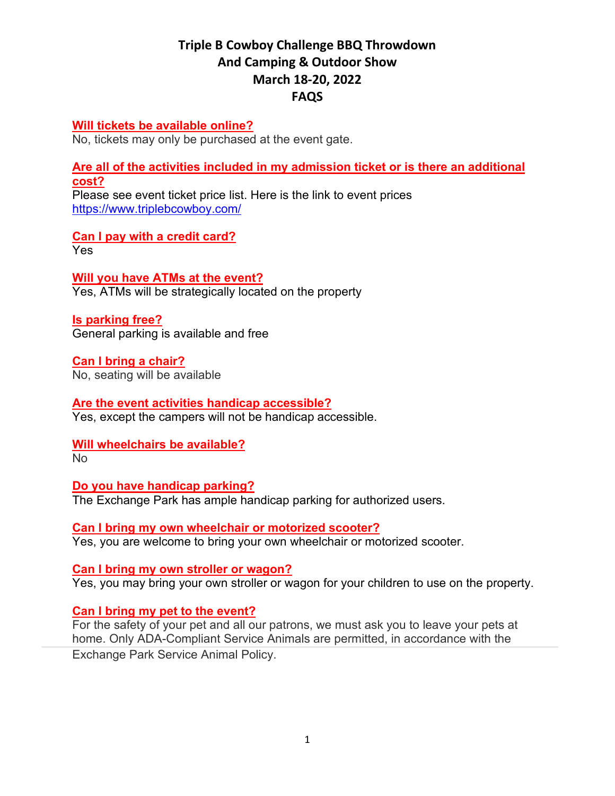# **Triple B Cowboy Challenge BBQ Throwdown And Camping & Outdoor Show March 18-20, 2022 FAQS**

#### **[Will tickets be available online?](javascript:void(0))**

No, tickets may only be purchased at the event gate.

**Are all of [the activities included in my admission ticket or is there an additional](javascript:void(0))  [cost?](javascript:void(0))**

Please see event ticket price list. Here is the link to event prices <https://www.triplebcowboy.com/>

**Can I pay with a credit card?** Yes

**Will you have ATMs at the event?** Yes, ATMs will be strategically located on the property

**Is parking free?** General parking is available and free

**Can I bring a chair?** No, seating will be available

**Are the event activities handicap accessible?** Yes, except the campers will not be handicap accessible.

**Will wheelchairs be available?**

No

**Do you have handicap parking?** The Exchange Park has ample handicap parking for authorized users.

**Can I bring my own wheelchair or motorized scooter?** Yes, you are welcome to bring your own wheelchair or motorized scooter.

**Can I bring my own stroller or wagon?** Yes, you may bring your own stroller or wagon for your children to use on the property.

## **Can I bring my pet to the event?**

For the safety of your pet and all our patrons, we must ask you to leave your pets at home. Only ADA-Compliant Service Animals are permitted, in accordance with the Exchange Park Service Animal Policy.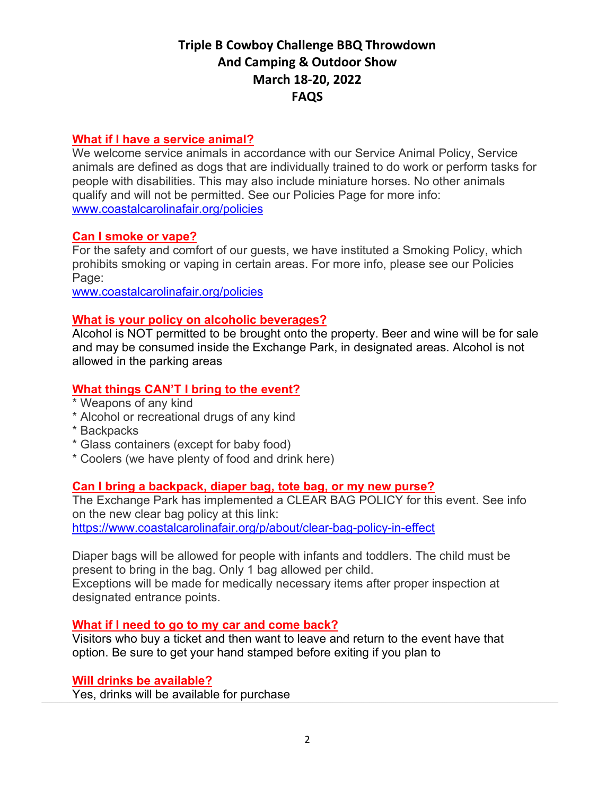# **Triple B Cowboy Challenge BBQ Throwdown And Camping & Outdoor Show March 18-20, 2022 FAQS**

### **What if I have a service animal?**

We welcome service animals in accordance with our Service Animal Policy, Service animals are defined as dogs that are individually trained to do work or perform tasks for people with disabilities. This may also include miniature horses. No other animals qualify and will not be permitted. See our Policies Page for more info: [www.coastalcarolinafair.org/policies](http://www.coastalcarolinafair.org/policies)

## **Can I smoke or vape?**

For the safety and comfort of our guests, we have instituted a Smoking Policy, which prohibits smoking or vaping in certain areas. For more info, please see our Policies Page:

[www.coastalcarolinafair.org/policies](http://www.coastalcarolinafair.org/policies)

## **What is your policy on alcoholic beverages?**

Alcohol is NOT permitted to be brought onto the property. Beer and wine will be for sale and may be consumed inside the Exchange Park, in designated areas. Alcohol is not allowed in the parking areas

## **What things CAN'T I bring to the event?**

- \* Weapons of any kind
- \* Alcohol or recreational drugs of any kind
- \* Backpacks
- \* Glass containers (except for baby food)
- \* Coolers (we have plenty of food and drink here)

#### **Can I bring a backpack, diaper bag, tote bag, or my new purse?**

The Exchange Park has implemented a CLEAR BAG POLICY for this event. See info on the new clear bag policy at this link:

<https://www.coastalcarolinafair.org/p/about/clear-bag-policy-in-effect>

Diaper bags will be allowed for people with infants and toddlers. The child must be present to bring in the bag. Only 1 bag allowed per child. Exceptions will be made for medically necessary items after proper inspection at designated entrance points.

**What if I need to go to my car and come back?**

Visitors who buy a ticket and then want to leave and return to the event have that option. Be sure to get your hand stamped before exiting if you plan to

**Will drinks be available?**

Yes, drinks will be available for purchase